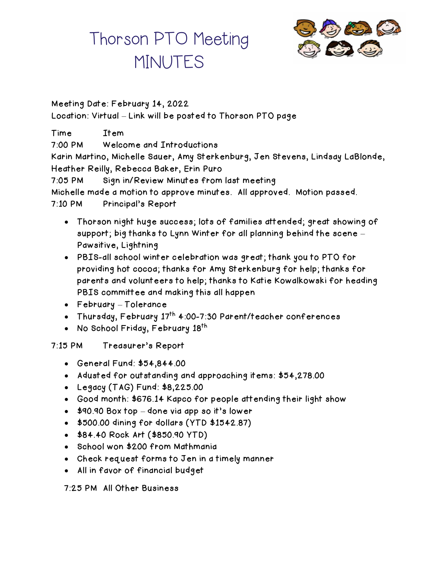# Thorson PTO Meeting **MINUTES**



## Meeting Date: February 14, 2022 Location: Virtual – Link will be posted to Thorson PTO page

Time Item 7:00 PM Welcome and Introductions Karin Martino, Michelle Sauer, Amy Sterkenburg, Jen Stevens, Lindsay LaBlonde, Heather Reilly, Rebecca Baker, Erin Puro 7:05 PM Sign in/Review Minutes from last meeting Michelle made a motion to approve minutes. All approved. Motion passed. 7:10 PM Principal's Report

- Thorson night huge success; lots of families attended; great showing of support; big thanks to Lynn Winter for all planning behind the scene – Pawsitive, Lightning
- PBIS-all school winter celebration was great; thank you to PTO for providing hot cocoa; thanks for Amy Sterkenburg for help; thanks for parents and volunteers to help; thanks to Katie Kowalkowski for heading PBIS committee and making this all happen
- February Tolerance
- Thursday, February 17<sup>th</sup> 4:00-7:30 Parent/teacher conferences
- No School Friday, February 18<sup>th</sup>

## 7:15 PM Treasurer's Report

- General Fund: \$54,844.00
- Adusted for outstanding and approaching items: \$54,278.00
- Legacy (TAG) Fund: \$8,225.00
- Good month: \$676.14 Kapco for people attending their light show
- \$90.90 Box top done via app so it's lower
- \$500.00 dining for dollars (YTD \$1542.87)
- \$84.40 Rock Art (\$850.90 YTD)
- School won \$200 from Mathmania
- Check request forms to Jen in a timely manner
- All in favor of financial budget

### 7:25 PM All Other Business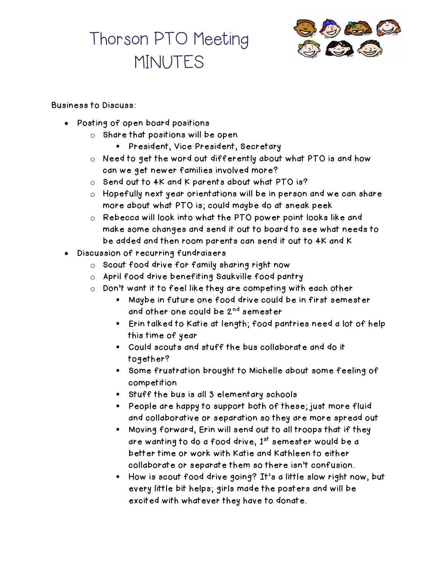## Thorson PTO Meeting **MINUTES**



#### Business to Discuss:

- Posting of open board positions
	- o Share that positions will be open
		- President, Vice President, Secretary
	- o Need to get the word out differently about what PTO is and how can we get newer families involved more?
	- o Send out to 4K and K parents about what PTO is?
	- o Hopefully next year orientations will be in person and we can share more about what PTO is; could maybe do at sneak peek
	- o Rebecca will look into what the PTO power point looks like and make some changes and send it out to board to see what needs to be added and then room parents can send it out to 4K and K
- Discussion of recurring fundraisers
	- o Scout food drive for family sharing right now
	- o April food drive benefiting Saukville food pantry
	- o Don't want it to feel like they are competing with each other
		- Maybe in future one food drive could be in first semester and other one could be 2<sup>nd</sup> semester
		- Erin talked to Katie at length; food pantries need a lot of help this time of year
		- Could scouts and stuff the bus collaborate and do it together?
		- Some frustration brought to Michelle about some feeling of competition
		- Stuff the bus is all 3 elementary schools
		- People are happy to support both of these; just more fluid and collaborative or separation so they are more spread out
		- Moving forward, Erin will send out to all troops that if they are wanting to do a food drive,  $1<sup>st</sup>$  semester would be a better time or work with Katie and Kathleen to either collaborate or separate them so there isn't confusion.
		- How is scout food drive going? It's a little slow right now, but every little bit helps; girls made the posters and will be excited with whatever they have to donate.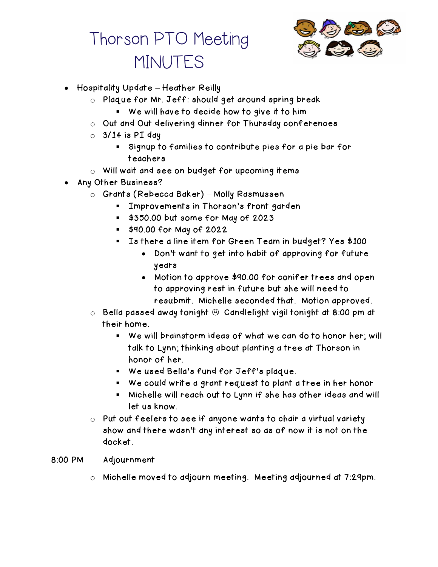# Thorson PTO Meeting **MINUTES**



- Hospitality Update Heather Reilly
	- o Plaque for Mr. Jeff: should get around spring break
		- We will have to decide how to give it to him
	- o Out and Out delivering dinner for Thursday conferences
	- $\circ$  3/14 is PI day
		- Signup to families to contribute pies for a pie bar for teachers
	- o Will wait and see on budget for upcoming items
- Any Other Business?
	- o Grants (Rebecca Baker) Molly Rasmussen
		- **EXT** Improvements in Thorson's front garden
		- \$350.00 but some for May of 2023
		- \$90.00 for May of 2022
		- Is there a line item for Green Team in budget? Yes \$100
			- Don't want to get into habit of approving for future years
			- Motion to approve \$90.00 for conifer trees and open to approving rest in future but she will need to resubmit. Michelle seconded that. Motion approved.
	- $\circ$  Bella passed away tonight  $\circledcirc$  Candlelight vigil tonight at 8:00 pm at their home.
		- We will brainstorm ideas of what we can do to honor her; will talk to Lynn; thinking about planting a tree at Thorson in honor of her.
		- We used Bella's fund for Jeff's plaque.
		- We could write a grant request to plant a tree in her honor
		- Michelle will reach out to Lynn if she has other ideas and will let us know.
	- o Put out feelers to see if anyone wants to chair a virtual variety show and there wasn't any interest so as of now it is not on the docket.
- 8:00 PM Adjournment
	- o Michelle moved to adjourn meeting. Meeting adjourned at 7:29pm.